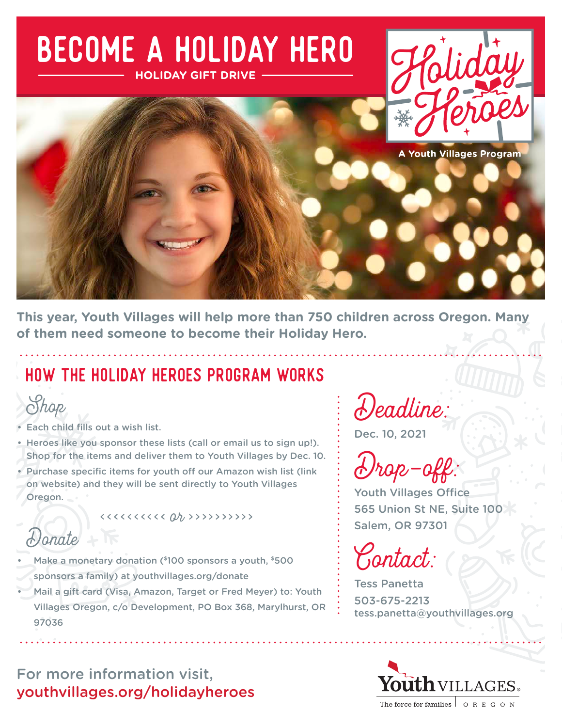

**This year, Youth Villages will help more than 750 children across Oregon. Many of them need someone to become their Holiday Hero.**

## HOW THE HOLIDAY HEROES PROGRAM WORKS



- Shop<br>Fach child fills out a wish list.
- Heroes like you sponsor these lists (call or email us to sign up!). Shop for the items and deliver them to Youth Villages by Dec. 10.
- Purchase specific items for youth off our Amazon wish list (link on website) and they will be sent directly to Youth Villages Oregon.

Donate

- Make a monetary donation (\$100 sponsors a youth, \$500
- sponsors a family) at [youthvillages.org/donate](http://www.youthvillages.org/donate)
- Mail a gift card (Visa, Amazon, Target or Fred Meyer) to: Youth Villages Oregon, c/o Development, PO Box 368, Marylhurst, OR 97036

For more information visit, [youthvillages.org/holidayheroes](http://www.youthvillages.org/holidayheroes)

Deadline:

Dec. 10, 2021

Drop-off:

Youth Villages Office 565 Union St NE, Suite 100 Salem, OR 97301

Contact:

Tess Panetta 503-675-2213 [tess.panetta@youthvillages.org](mailto:tess.panetta%40youthvillages.org?subject=)

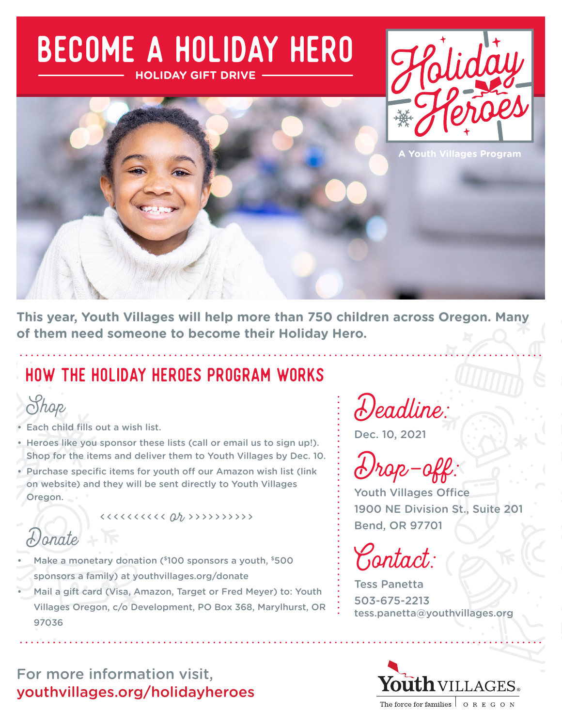# Become a Holiday Hero **HOLIDAY GIFT DRIVE**





**This year, Youth Villages will help more than 750 children across Oregon. Many of them need someone to become their Holiday Hero.**

## HOW THE HOLIDAY HEROES PROGRAM WORKS



- Shop<br>Fach child fills out a wish list.
- Heroes like you sponsor these lists (call or email us to sign up!). Shop for the items and deliver them to Youth Villages by Dec. 10.
- Purchase specific items for youth off our Amazon wish list (link on website) and they will be sent directly to Youth Villages Oregon.

Donate

- Make a monetary donation (\$100 sponsors a youth, \$500
- sponsors a family) at [youthvillages.org/donate](http://www.youthvillages.org/donate)
- Mail a gift card (Visa, Amazon, Target or Fred Meyer) to: Youth Villages Oregon, c/o Development, PO Box 368, Marylhurst, OR 97036

For more information visit, [youthvillages.org/holidayheroes](http://www.youthvillages.org/holidayheroes)

Deadline:

Dec. 10, 2021

Drop-off:

Youth Villages Office 1900 NE Division St., Suite 201 Bend, OR 97701

Contact:

Tess Panetta 503-675-2213 [tess.panetta@youthvillages.org](mailto:tess.panetta%40youthvillages.org?subject=)

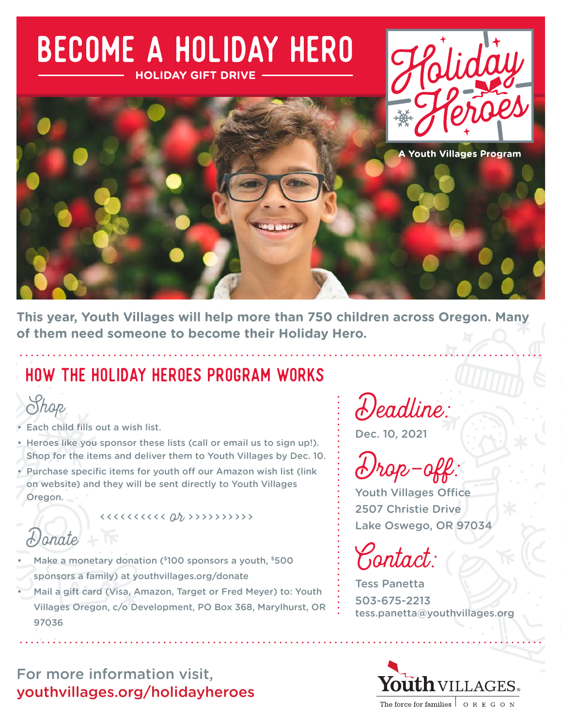

**This year, Youth Villages will help more than 750 children across Oregon. Many of them need someone to become their Holiday Hero.**

## HOW THE HOLIDAY HEROES PROGRAM WORKS



- Shop<br>Fach child fills out a wish list.
- Heroes like you sponsor these lists (call or email us to sign up!). Shop for the items and deliver them to Youth Villages by Dec. 10.
- Purchase specific items for youth off our Amazon wish list (link on website) and they will be sent directly to Youth Villages Oregon.

Donate

- Make a monetary donation (\$100 sponsors a youth, \$500
- sponsors a family) at [youthvillages.org/donate](http://www.youthvillages.org/donate)
- Mail a gift card (Visa, Amazon, Target or Fred Meyer) to: Youth Villages Oregon, c/o Development, PO Box 368, Marylhurst, OR 97036

For more information visit, [youthvillages.org/holidayheroes](http://www.youthvillages.org/holidayheroes)

Deadline:

Dec. 10, 2021

Drop-off:

Youth Villages Office 2507 Christie Drive Lake Oswego, OR 97034

Contact:

Tess Panetta 503-675-2213 [tess.panetta@youthvillages.org](mailto:tess.panetta%40youthvillages.org?subject=)